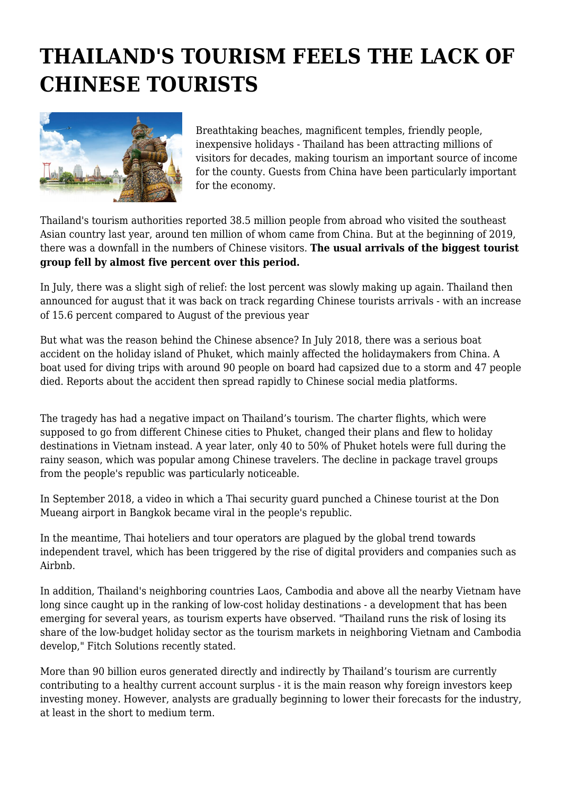## **THAILAND'S TOURISM FEELS THE LACK OF CHINESE TOURISTS**



Breathtaking beaches, magnificent temples, friendly people, inexpensive holidays - Thailand has been attracting millions of visitors for decades, making tourism an important source of income for the county. Guests from China have been particularly important for the economy.

Thailand's tourism authorities reported 38.5 million people from abroad who visited the southeast Asian country last year, around ten million of whom came from China. But at the beginning of 2019, there was a downfall in the numbers of Chinese visitors. **The usual arrivals of the biggest tourist group fell by almost five percent over this period.**

In July, there was a slight sigh of relief: the lost percent was slowly making up again. Thailand then announced for august that it was back on track regarding Chinese tourists arrivals - with an increase of 15.6 percent compared to August of the previous year

But what was the reason behind the Chinese absence? In July 2018, there was a serious boat accident on the holiday island of Phuket, which mainly affected the holidaymakers from China. A boat used for diving trips with around 90 people on board had capsized due to a storm and 47 people died. Reports about the accident then spread rapidly to Chinese social media platforms.

The tragedy has had a negative impact on Thailand's tourism. The charter flights, which were supposed to go from different Chinese cities to Phuket, changed their plans and flew to holiday destinations in Vietnam instead. A year later, only 40 to 50% of Phuket hotels were full during the rainy season, which was popular among Chinese travelers. The decline in package travel groups from the people's republic was particularly noticeable.

In September 2018, a video in which a Thai security guard punched a Chinese tourist at the Don Mueang airport in Bangkok became viral in the people's republic.

In the meantime, Thai hoteliers and tour operators are plagued by the global trend towards independent travel, which has been triggered by the rise of digital providers and companies such as Airbnb.

In addition, Thailand's neighboring countries Laos, Cambodia and above all the nearby Vietnam have long since caught up in the ranking of low-cost holiday destinations - a development that has been emerging for several years, as tourism experts have observed. "Thailand runs the risk of losing its share of the low-budget holiday sector as the tourism markets in neighboring Vietnam and Cambodia develop," Fitch Solutions recently stated.

More than 90 billion euros generated directly and indirectly by Thailand's tourism are currently contributing to a healthy current account surplus - it is the main reason why foreign investors keep investing money. However, analysts are gradually beginning to lower their forecasts for the industry, at least in the short to medium term.